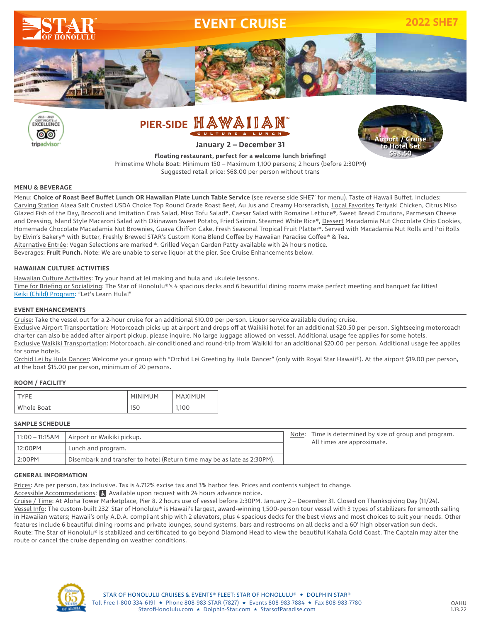



# PIER-SIDE HAWAIIA CULTURE **January 2 – December 31**



**Floating restaurant, perfect for a welcome lunch briefing!** Primetime Whole Boat: Minimum 150 – Maximum 1,100 persons; 2 hours (before 2:30PM) Suggested retail price: \$68.00 per person without trans

## **MENU & BEVERAGE**

Menu: **Choice of Roast Beef Buffet Lunch OR Hawaiian Plate Lunch Table Service** (see reverse side SHE7' for menu). Taste of Hawaii Buffet. Includes: Carving Station Alaea Salt Crusted USDA Choice Top Round Grade Roast Beef, Au Jus and Creamy Horseradish, Local Favorites Teriyaki Chicken, Citrus Miso Glazed Fish of the Day, Broccoli and Imitation Crab Salad, Miso Tofu Salad❋, Caesar Salad with Romaine Lettuce❋, Sweet Bread Croutons, Parmesan Cheese and Dressing, Island Style Macaroni Salad with Okinawan Sweet Potato, Fried Saimin, Steamed White Rice\*, Dessert Macadamia Nut Chocolate Chip Cookies, Homemade Chocolate Macadamia Nut Brownies, Guava Chiffon Cake, Fresh Seasonal Tropical Fruit Platter❋. Served with Macadamia Nut Rolls and Poi Rolls by Elvin's Bakery® with Butter, Freshly Brewed STAR's Custom Kona Blend Coffee by Hawaiian Paradise Coffee® & Tea. Alternative Entrée: Vegan Selections are marked ❋. Grilled Vegan Garden Patty available with 24 hours notice. Beverages: **Fruit Punch.** Note: We are unable to serve liquor at the pier. See Cruise Enhancements below.

## **HAWAIIAN CULTURE ACTIVITIES**

Hawaiian Culture Activities: Try your hand at lei making and hula and ukulele lessons.

Time for Briefing or Socializing: The Star of Honolulu®'s 4 spacious decks and 6 beautiful dining rooms make perfect meeting and banquet facilities! Keiki (Child) Program: "Let's Learn Hula!"

## **EVENT ENHANCEMENTS**

Cruise: Take the vessel out for a 2-hour cruise for an additional \$10.00 per person. Liquor service available during cruise.

Exclusive Airport Transportation: Motorcoach picks up at airport and drops off at Waikiki hotel for an additional \$20.50 per person. Sightseeing motorcoach charter can also be added after airport pickup, please inquire. No large luggage allowed on vessel. Additional usage fee applies for some hotels. Exclusive Waikiki Transportation: Motorcoach, air-conditioned and round-trip from Waikiki for an additional \$20.00 per person. Additional usage fee applies for some hotels.

Orchid Lei by Hula Dancer: Welcome your group with "Orchid Lei Greeting by Hula Dancer" (only with Royal Star Hawaii®). At the airport \$19.00 per person, at the boat \$15.00 per person, minimum of 20 persons.

## **ROOM / FACILITY**

| TYPF       | <b>MINIMUM</b> | MAXIMUM |
|------------|----------------|---------|
| Whole Boat | 150            | 1,100   |

#### **SAMPLE SCHEDULE**

| 11:00 - 11:15AM | Airport or Waikiki pickup.                                              | Note: Time is determined by size of group and program.<br>All times are approximate. |
|-----------------|-------------------------------------------------------------------------|--------------------------------------------------------------------------------------|
| 12:00PM         | Lunch and program.                                                      |                                                                                      |
| 2:00PM          | Disembark and transfer to hotel (Return time may be as late as 2:30PM). |                                                                                      |

#### **GENERAL INFORMATION**

Prices: Are per person, tax inclusive. Tax is 4.712% excise tax and 3% harbor fee. Prices and contents subject to change.

Accessible Accommodations:  $\frac{1}{6}$  Available upon request with 24 hours advance notice.

Cruise / Time: At Aloha Tower Marketplace, Pier 8. 2 hours use of vessel before 2:30PM. January 2 – December 31. Closed on Thanksgiving Day (11/24). Vessel Info: The custom-built 232' Star of Honolulu® is Hawaii's largest, award-winning 1,500-person tour vessel with 3 types of stabilizers for smooth sailing in Hawaiian waters; Hawaii's only A.D.A. compliant ship with 2 elevators, plus 4 spacious decks for the best views and most choices to suit your needs. Other features include 6 beautiful dining rooms and private lounges, sound systems, bars and restrooms on all decks and a 60' high observation sun deck. Route: The Star of Honolulu® is stabilized and certificated to go beyond Diamond Head to view the beautiful Kahala Gold Coast. The Captain may alter the route or cancel the cruise depending on weather conditions.